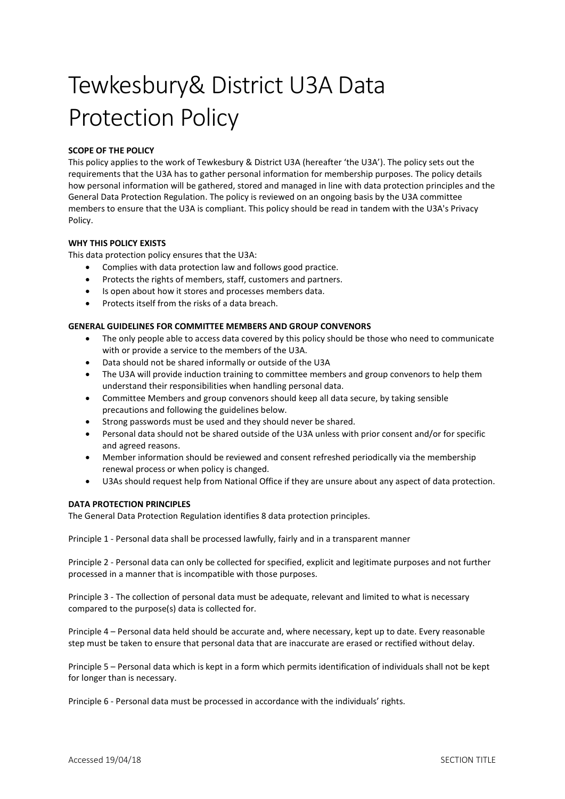# Tewkesbury& District U3A Data Protection Policy

## SCOPE OF THE POLICY

This policy applies to the work of Tewkesbury & District U3A (hereafter 'the U3A'). The policy sets out the requirements that the U3A has to gather personal information for membership purposes. The policy details how personal information will be gathered, stored and managed in line with data protection principles and the General Data Protection Regulation. The policy is reviewed on an ongoing basis by the U3A committee members to ensure that the U3A is compliant. This policy should be read in tandem with the U3A's Privacy Policy.

## WHY THIS POLICY EXISTS

This data protection policy ensures that the U3A:

- Complies with data protection law and follows good practice.
- Protects the rights of members, staff, customers and partners.
- Is open about how it stores and processes members data.
- Protects itself from the risks of a data breach.

### GENERAL GUIDELINES FOR COMMITTEE MEMBERS AND GROUP CONVENORS

- The only people able to access data covered by this policy should be those who need to communicate with or provide a service to the members of the U3A.
- Data should not be shared informally or outside of the U3A
- The U3A will provide induction training to committee members and group convenors to help them understand their responsibilities when handling personal data.
- Committee Members and group convenors should keep all data secure, by taking sensible precautions and following the guidelines below.
- Strong passwords must be used and they should never be shared.
- Personal data should not be shared outside of the U3A unless with prior consent and/or for specific and agreed reasons.
- Member information should be reviewed and consent refreshed periodically via the membership renewal process or when policy is changed.
- U3As should request help from National Office if they are unsure about any aspect of data protection.

## DATA PROTECTION PRINCIPLES

The General Data Protection Regulation identifies 8 data protection principles.

Principle 1 - Personal data shall be processed lawfully, fairly and in a transparent manner

Principle 2 - Personal data can only be collected for specified, explicit and legitimate purposes and not further processed in a manner that is incompatible with those purposes.

Principle 3 - The collection of personal data must be adequate, relevant and limited to what is necessary compared to the purpose(s) data is collected for.

Principle 4 – Personal data held should be accurate and, where necessary, kept up to date. Every reasonable step must be taken to ensure that personal data that are inaccurate are erased or rectified without delay.

Principle 5 – Personal data which is kept in a form which permits identification of individuals shall not be kept for longer than is necessary.

Principle 6 - Personal data must be processed in accordance with the individuals' rights.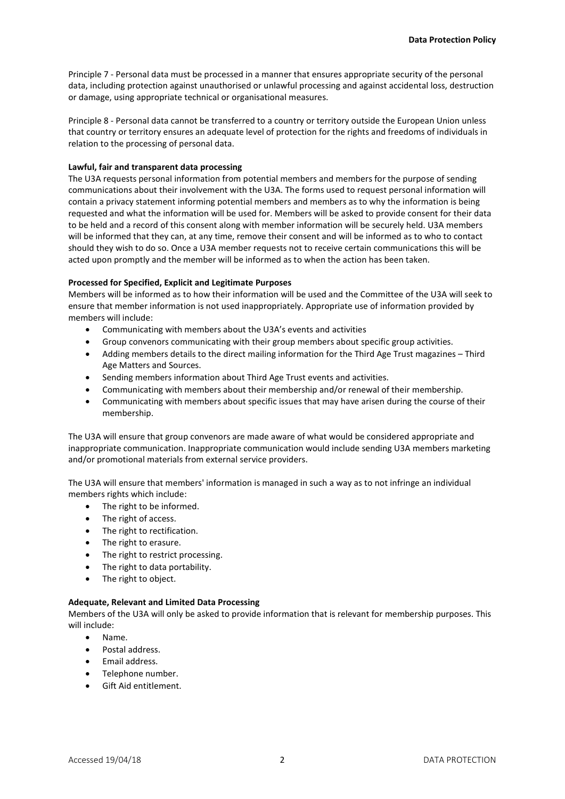Principle 7 - Personal data must be processed in a manner that ensures appropriate security of the personal data, including protection against unauthorised or unlawful processing and against accidental loss, destruction or damage, using appropriate technical or organisational measures.

Principle 8 - Personal data cannot be transferred to a country or territory outside the European Union unless that country or territory ensures an adequate level of protection for the rights and freedoms of individuals in relation to the processing of personal data.

## Lawful, fair and transparent data processing

The U3A requests personal information from potential members and members for the purpose of sending communications about their involvement with the U3A. The forms used to request personal information will contain a privacy statement informing potential members and members as to why the information is being requested and what the information will be used for. Members will be asked to provide consent for their data to be held and a record of this consent along with member information will be securely held. U3A members will be informed that they can, at any time, remove their consent and will be informed as to who to contact should they wish to do so. Once a U3A member requests not to receive certain communications this will be acted upon promptly and the member will be informed as to when the action has been taken.

### Processed for Specified, Explicit and Legitimate Purposes

Members will be informed as to how their information will be used and the Committee of the U3A will seek to ensure that member information is not used inappropriately. Appropriate use of information provided by members will include:

- Communicating with members about the U3A's events and activities
- Group convenors communicating with their group members about specific group activities.
- Adding members details to the direct mailing information for the Third Age Trust magazines Third Age Matters and Sources.
- Sending members information about Third Age Trust events and activities.
- Communicating with members about their membership and/or renewal of their membership.
- Communicating with members about specific issues that may have arisen during the course of their membership.

The U3A will ensure that group convenors are made aware of what would be considered appropriate and inappropriate communication. Inappropriate communication would include sending U3A members marketing and/or promotional materials from external service providers.

The U3A will ensure that members' information is managed in such a way as to not infringe an individual members rights which include:

- The right to be informed.
- The right of access.
- The right to rectification.
- The right to erasure.
- The right to restrict processing.
- The right to data portability.
- The right to object.

## Adequate, Relevant and Limited Data Processing

Members of the U3A will only be asked to provide information that is relevant for membership purposes. This will include:

- Name.
- Postal address.
- Email address.
- Telephone number.
- Gift Aid entitlement.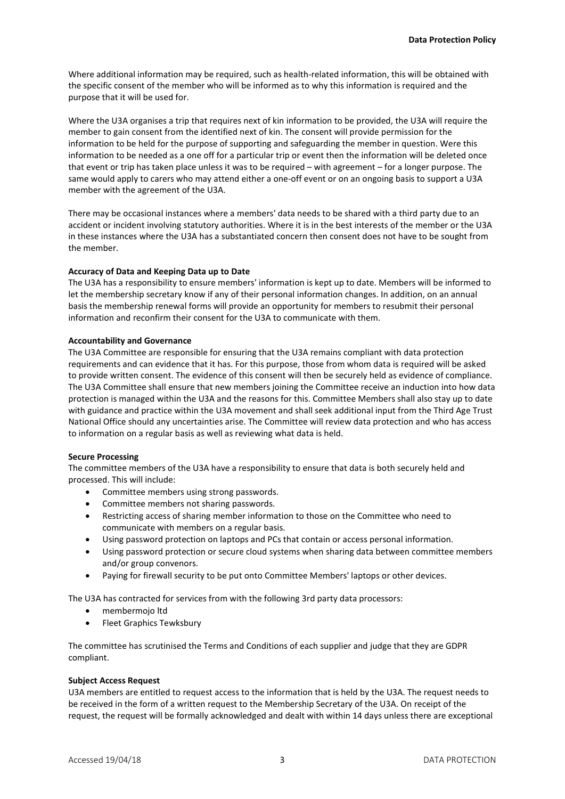Where additional information may be required, such as health-related information, this will be obtained with the specific consent of the member who will be informed as to why this information is required and the purpose that it will be used for.

Where the U3A organises a trip that requires next of kin information to be provided, the U3A will require the member to gain consent from the identified next of kin. The consent will provide permission for the information to be held for the purpose of supporting and safeguarding the member in question. Were this information to be needed as a one off for a particular trip or event then the information will be deleted once that event or trip has taken place unless it was to be required – with agreement – for a longer purpose. The same would apply to carers who may attend either a one-off event or on an ongoing basis to support a U3A member with the agreement of the U3A.

There may be occasional instances where a members' data needs to be shared with a third party due to an accident or incident involving statutory authorities. Where it is in the best interests of the member or the U3A in these instances where the U3A has a substantiated concern then consent does not have to be sought from the member.

### Accuracy of Data and Keeping Data up to Date

The U3A has a responsibility to ensure members' information is kept up to date. Members will be informed to let the membership secretary know if any of their personal information changes. In addition, on an annual basis the membership renewal forms will provide an opportunity for members to resubmit their personal information and reconfirm their consent for the U3A to communicate with them.

### Accountability and Governance

The U3A Committee are responsible for ensuring that the U3A remains compliant with data protection requirements and can evidence that it has. For this purpose, those from whom data is required will be asked to provide written consent. The evidence of this consent will then be securely held as evidence of compliance. The U3A Committee shall ensure that new members joining the Committee receive an induction into how data protection is managed within the U3A and the reasons for this. Committee Members shall also stay up to date with guidance and practice within the U3A movement and shall seek additional input from the Third Age Trust National Office should any uncertainties arise. The Committee will review data protection and who has access to information on a regular basis as well as reviewing what data is held.

## Secure Processing

The committee members of the U3A have a responsibility to ensure that data is both securely held and processed. This will include:

- Committee members using strong passwords.
- Committee members not sharing passwords.
- Restricting access of sharing member information to those on the Committee who need to communicate with members on a regular basis.
- Using password protection on laptops and PCs that contain or access personal information.
- Using password protection or secure cloud systems when sharing data between committee members and/or group convenors.
- Paying for firewall security to be put onto Committee Members' laptops or other devices.

The U3A has contracted for services from with the following 3rd party data processors:

- membermojo ltd
- Fleet Graphics Tewksbury

The committee has scrutinised the Terms and Conditions of each supplier and judge that they are GDPR compliant.

#### Subject Access Request

U3A members are entitled to request access to the information that is held by the U3A. The request needs to be received in the form of a written request to the Membership Secretary of the U3A. On receipt of the request, the request will be formally acknowledged and dealt with within 14 days unless there are exceptional